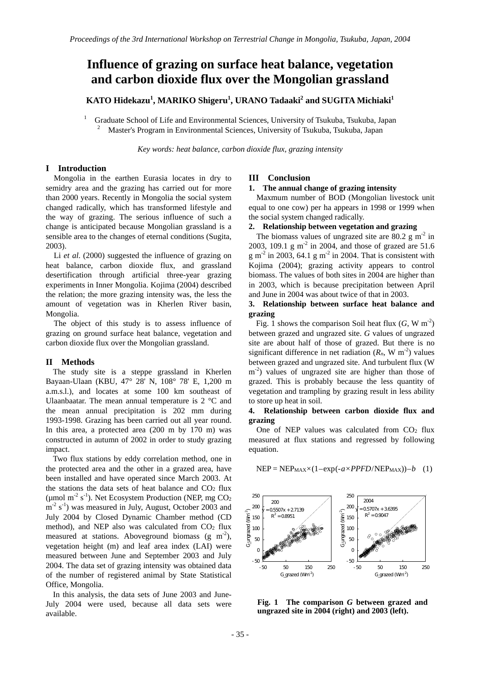# **Influence of grazing on surface heat balance, vegetation and carbon dioxide flux over the Mongolian grassland**

 $\mathbf{KATO\ Hidekazu}^1, \mathbf{MARKO\ Shigeru}^1, \mathbf{URANO\ Tadaaki}^2$  and  $\mathbf{SUGITA\ Michiaki}^1$ 

1 Graduate School of Life and Environmental Sciences, University of Tsukuba, Tsukuba, Japan 2 Master's Program in Environmental Sciences, University of Tsukuba, Tsukuba, Japan

*Key words: heat balance, carbon dioxide flux, grazing intensity* 

# **I Introduction**

Mongolia in the earthen Eurasia locates in dry to semidry area and the grazing has carried out for more than 2000 years. Recently in Mongolia the social system changed radically, which has transformed lifestyle and the way of grazing. The serious influence of such a change is anticipated because Mongolian grassland is a sensible area to the changes of eternal conditions (Sugita, 2003).

Li *et al.* (2000) suggested the influence of grazing on heat balance, carbon dioxide flux, and grassland desertification through artificial three-year grazing experiments in Inner Mongolia. Kojima (2004) described the relation; the more grazing intensity was, the less the amount of vegetation was in Kherlen River basin, Mongolia.

The object of this study is to assess influence of grazing on ground surface heat balance, vegetation and carbon dioxide flux over the Mongolian grassland.

### **II Methods**

The study site is a steppe grassland in Kherlen Bayaan-Ulaan (KBU, 47° 28' N, 108° 78' E, 1,200 m a.m.s.l.), and locates at some 100 km southeast of Ulaanbaatar. The mean annual temperature is 2 °C and the mean annual precipitation is 202 mm during 1993-1998. Grazing has been carried out all year round. In this area, a protected area (200 m by 170 m) was constructed in autumn of 2002 in order to study grazing impact.

Two flux stations by eddy correlation method, one in the protected area and the other in a grazed area, have been installed and have operated since March 2003. At the stations the data sets of heat balance and  $CO<sub>2</sub>$  flux (µmol m<sup>-2</sup> s<sup>-1</sup>). Net Ecosystem Production (NEP, mg  $CO<sub>2</sub>$  $m^{-2}$  s<sup>-1</sup>) was measured in July, August, October 2003 and July 2004 by Closed Dynamic Chamber method (CD method), and NEP also was calculated from  $CO<sub>2</sub>$  flux measured at stations. Above ground biomass (g  $m<sup>2</sup>$ ), vegetation height (m) and leaf area index (LAI) were measured between June and September 2003 and July 2004. The data set of grazing intensity was obtained data of the number of registered animal by State Statistical Office, Mongolia.

In this analysis, the data sets of June 2003 and June-July 2004 were used, because all data sets were available.

#### **III Conclusion**

#### **1. The annual change of grazing intensity**

Maxmum number of BOD (Mongolian livestock unit equal to one cow) per ha appears in 1998 or 1999 when the social system changed radically.

# **2. Relationship between vegetation and grazing**

The biomass values of ungrazed site are  $80.2 \text{ g m}^{-2}$  in 2003, 109.1 g m<sup>-2</sup> in 2004, and those of grazed are 51.6 g m<sup>-2</sup> in 2003, 64.1 g m<sup>-2</sup> in 2004. That is consistent with Kojima (2004); grazing activity appears to control biomass. The values of both sites in 2004 are higher than in 2003, which is because precipitation between April and June in 2004 was about twice of that in 2003.

## **3. Relationship between surface heat balance and grazing**

Fig. 1 shows the comparison Soil heat flux  $(G, W \text{ m}^{-2})$ between grazed and ungrazed site. *G* values of ungrazed site are about half of those of grazed. But there is no significant difference in net radiation  $(R_n, W m^{-2})$  values between grazed and ungrazed site. And turbulent flux (W  $m^{-2}$ ) values of ungrazed site are higher than those of grazed. This is probably because the less quantity of vegetation and trampling by grazing result in less ability to store up heat in soil.

## **4. Relationship between carbon dioxide flux and grazing**

One of NEP values was calculated from CO<sub>2</sub> flux measured at flux stations and regressed by following equation.

#### $NEP = NEP_{MAX} \times (1 - exp(-a \times PPFD/NEP_{MAX})) - b$  (1)



**Fig. 1 The comparison** *G* **between grazed and ungrazed site in 2004 (right) and 2003 (left).**